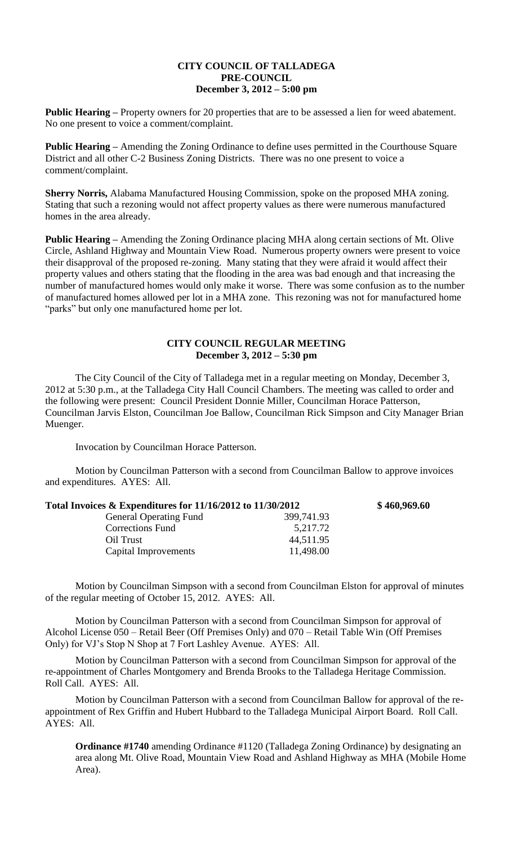## **CITY COUNCIL OF TALLADEGA PRE-COUNCIL December 3, 2012 – 5:00 pm**

**Public Hearing** – Property owners for 20 properties that are to be assessed a lien for weed abatement. No one present to voice a comment/complaint.

**Public Hearing –** Amending the Zoning Ordinance to define uses permitted in the Courthouse Square District and all other C-2 Business Zoning Districts. There was no one present to voice a comment/complaint.

**Sherry Norris,** Alabama Manufactured Housing Commission, spoke on the proposed MHA zoning. Stating that such a rezoning would not affect property values as there were numerous manufactured homes in the area already.

**Public Hearing –** Amending the Zoning Ordinance placing MHA along certain sections of Mt. Olive Circle, Ashland Highway and Mountain View Road. Numerous property owners were present to voice their disapproval of the proposed re-zoning. Many stating that they were afraid it would affect their property values and others stating that the flooding in the area was bad enough and that increasing the number of manufactured homes would only make it worse. There was some confusion as to the number of manufactured homes allowed per lot in a MHA zone. This rezoning was not for manufactured home "parks" but only one manufactured home per lot.

## **CITY COUNCIL REGULAR MEETING December 3, 2012 – 5:30 pm**

The City Council of the City of Talladega met in a regular meeting on Monday, December 3, 2012 at 5:30 p.m., at the Talladega City Hall Council Chambers. The meeting was called to order and the following were present: Council President Donnie Miller, Councilman Horace Patterson, Councilman Jarvis Elston, Councilman Joe Ballow, Councilman Rick Simpson and City Manager Brian Muenger.

Invocation by Councilman Horace Patterson.

Motion by Councilman Patterson with a second from Councilman Ballow to approve invoices and expenditures. AYES: All.

| Total Invoices $\&$ Expenditures for 11/16/2012 to 11/30/2012 |            | \$460,969.60 |
|---------------------------------------------------------------|------------|--------------|
| <b>General Operating Fund</b>                                 | 399,741.93 |              |
| <b>Corrections Fund</b>                                       | 5,217.72   |              |
| Oil Trust                                                     | 44,511.95  |              |
| Capital Improvements                                          | 11,498.00  |              |

Motion by Councilman Simpson with a second from Councilman Elston for approval of minutes of the regular meeting of October 15, 2012. AYES: All.

Motion by Councilman Patterson with a second from Councilman Simpson for approval of Alcohol License 050 – Retail Beer (Off Premises Only) and 070 – Retail Table Win (Off Premises Only) for VJ's Stop N Shop at 7 Fort Lashley Avenue. AYES: All.

Motion by Councilman Patterson with a second from Councilman Simpson for approval of the re-appointment of Charles Montgomery and Brenda Brooks to the Talladega Heritage Commission. Roll Call. AYES: All.

Motion by Councilman Patterson with a second from Councilman Ballow for approval of the reappointment of Rex Griffin and Hubert Hubbard to the Talladega Municipal Airport Board. Roll Call. AYES: All.

**Ordinance #1740** amending Ordinance #1120 (Talladega Zoning Ordinance) by designating an area along Mt. Olive Road, Mountain View Road and Ashland Highway as MHA (Mobile Home Area).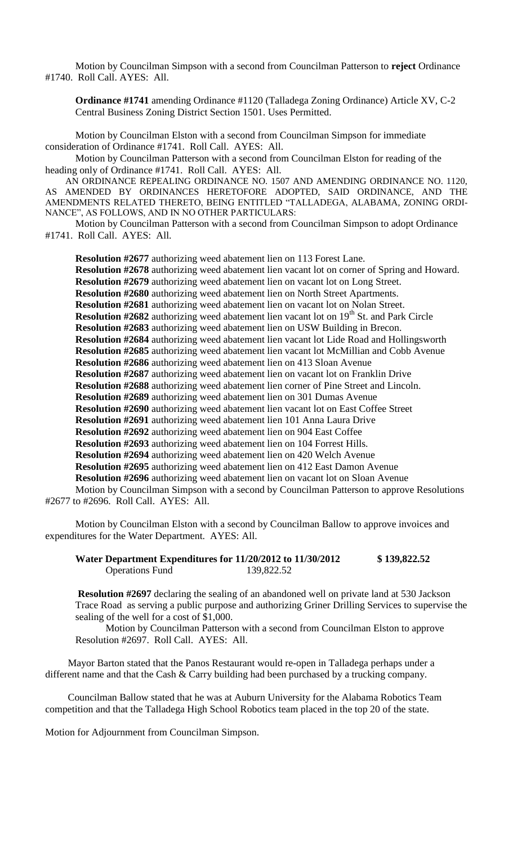Motion by Councilman Simpson with a second from Councilman Patterson to **reject** Ordinance #1740. Roll Call. AYES: All.

**Ordinance #1741** amending Ordinance #1120 (Talladega Zoning Ordinance) Article XV, C-2 Central Business Zoning District Section 1501. Uses Permitted.

Motion by Councilman Elston with a second from Councilman Simpson for immediate consideration of Ordinance #1741. Roll Call. AYES: All.

Motion by Councilman Patterson with a second from Councilman Elston for reading of the heading only of Ordinance #1741. Roll Call. AYES: All.

AN ORDINANCE REPEALING ORDINANCE NO. 1507 AND AMENDING ORDINANCE NO. 1120, AS AMENDED BY ORDINANCES HERETOFORE ADOPTED, SAID ORDINANCE, AND THE AMENDMENTS RELATED THERETO, BEING ENTITLED "TALLADEGA, ALABAMA, ZONING ORDI-NANCE", AS FOLLOWS, AND IN NO OTHER PARTICULARS:

Motion by Councilman Patterson with a second from Councilman Simpson to adopt Ordinance #1741. Roll Call. AYES: All.

**Resolution #2677** authorizing weed abatement lien on 113 Forest Lane. **Resolution #2678** authorizing weed abatement lien vacant lot on corner of Spring and Howard. **Resolution #2679** authorizing weed abatement lien on vacant lot on Long Street. **Resolution #2680** authorizing weed abatement lien on North Street Apartments. **Resolution #2681** authorizing weed abatement lien on vacant lot on Nolan Street. **Resolution #2682** authorizing weed abatement lien vacant lot on 19<sup>th</sup> St. and Park Circle **Resolution #2683** authorizing weed abatement lien on USW Building in Brecon. **Resolution #2684** authorizing weed abatement lien vacant lot Lide Road and Hollingsworth **Resolution #2685** authorizing weed abatement lien vacant lot McMillian and Cobb Avenue **Resolution #2686** authorizing weed abatement lien on 413 Sloan Avenue **Resolution #2687** authorizing weed abatement lien on vacant lot on Franklin Drive **Resolution #2688** authorizing weed abatement lien corner of Pine Street and Lincoln. **Resolution #2689** authorizing weed abatement lien on 301 Dumas Avenue **Resolution #2690** authorizing weed abatement lien vacant lot on East Coffee Street **Resolution #2691** authorizing weed abatement lien 101 Anna Laura Drive **Resolution #2692** authorizing weed abatement lien on 904 East Coffee **Resolution #2693** authorizing weed abatement lien on 104 Forrest Hills. **Resolution #2694** authorizing weed abatement lien on 420 Welch Avenue **Resolution #2695** authorizing weed abatement lien on 412 East Damon Avenue **Resolution #2696** authorizing weed abatement lien on vacant lot on Sloan Avenue

Motion by Councilman Simpson with a second by Councilman Patterson to approve Resolutions #2677 to #2696. Roll Call. AYES: All.

Motion by Councilman Elston with a second by Councilman Ballow to approve invoices and expenditures for the Water Department. AYES: All.

**Water Department Expenditures for 11/20/2012 to 11/30/2012 \$ 139,822.52** Operations Fund 139,822.52

**Resolution #2697** declaring the sealing of an abandoned well on private land at 530 Jackson Trace Road as serving a public purpose and authorizing Griner Drilling Services to supervise the sealing of the well for a cost of \$1,000.

Motion by Councilman Patterson with a second from Councilman Elston to approve Resolution #2697. Roll Call. AYES: All.

Mayor Barton stated that the Panos Restaurant would re-open in Talladega perhaps under a different name and that the Cash & Carry building had been purchased by a trucking company.

Councilman Ballow stated that he was at Auburn University for the Alabama Robotics Team competition and that the Talladega High School Robotics team placed in the top 20 of the state.

Motion for Adjournment from Councilman Simpson.